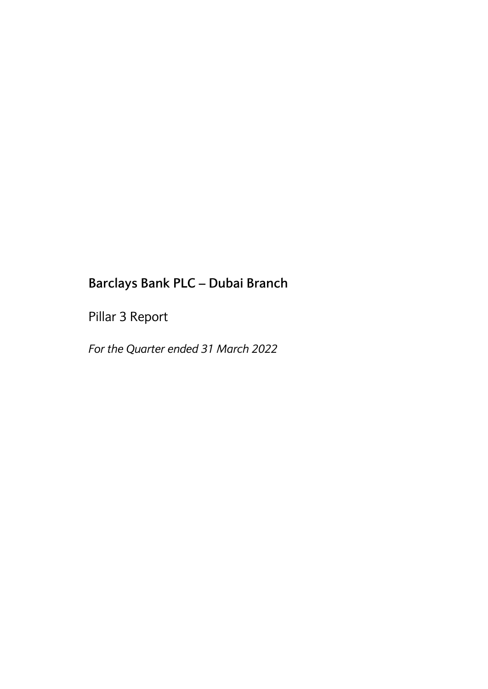Pillar 3 Report

*For the Quarter ended 31 March 2022*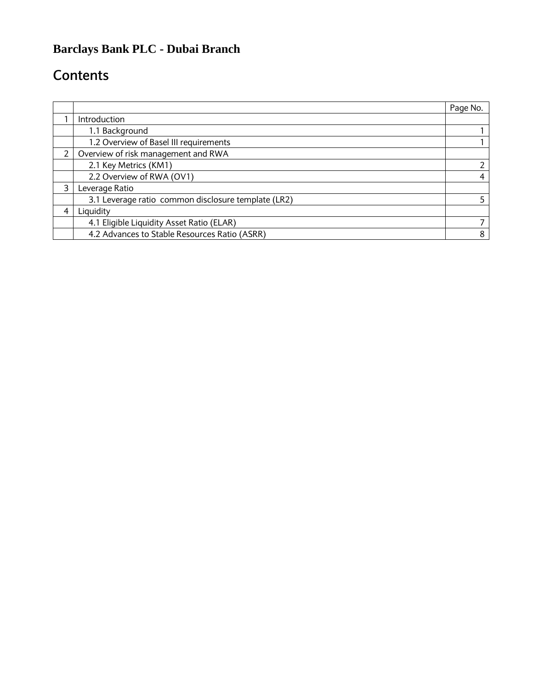# **Contents**

|   |                                                     | Page No. |
|---|-----------------------------------------------------|----------|
|   | Introduction                                        |          |
|   | 1.1 Background                                      |          |
|   | 1.2 Overview of Basel III requirements              |          |
| 2 | Overview of risk management and RWA                 |          |
|   | 2.1 Key Metrics (KM1)                               |          |
|   | 2.2 Overview of RWA (OV1)                           | 4        |
| 3 | Leverage Ratio                                      |          |
|   | 3.1 Leverage ratio common disclosure template (LR2) |          |
| 4 | Liquidity                                           |          |
|   | 4.1 Eligible Liquidity Asset Ratio (ELAR)           |          |
|   | 4.2 Advances to Stable Resources Ratio (ASRR)       | 8        |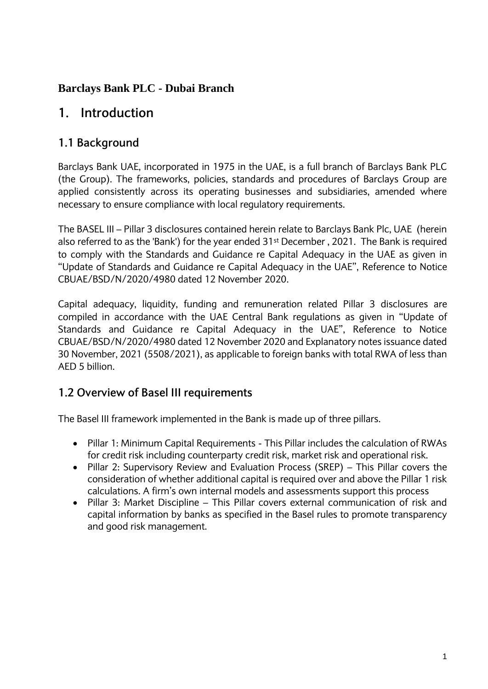# **1. Introduction**

#### **1.1 Background**

Barclays Bank UAE, incorporated in 1975 in the UAE, is a full branch of Barclays Bank PLC (the Group). The frameworks, policies, standards and procedures of Barclays Group are applied consistently across its operating businesses and subsidiaries, amended where necessary to ensure compliance with local regulatory requirements.

The BASEL III – Pillar 3 disclosures contained herein relate to Barclays Bank Plc, UAE (herein also referred to as the 'Bank') for the year ended 31st December , 2021. The Bank is required to comply with the Standards and Guidance re Capital Adequacy in the UAE as given in "Update of Standards and Guidance re Capital Adequacy in the UAE", Reference to Notice CBUAE/BSD/N/2020/4980 dated 12 November 2020.

Capital adequacy, liquidity, funding and remuneration related Pillar 3 disclosures are compiled in accordance with the UAE Central Bank regulations as given in "Update of Standards and Guidance re Capital Adequacy in the UAE", Reference to Notice CBUAE/BSD/N/2020/4980 dated 12 November 2020 and Explanatory notes issuance dated 30 November, 2021 (5508/2021), as applicable to foreign banks with total RWA of less than AED 5 billion.

#### **1.2 Overview of Basel III requirements**

The Basel III framework implemented in the Bank is made up of three pillars.

- Pillar 1: Minimum Capital Requirements This Pillar includes the calculation of RWAs for credit risk including counterparty credit risk, market risk and operational risk.
- Pillar 2: Supervisory Review and Evaluation Process (SREP) This Pillar covers the consideration of whether additional capital is required over and above the Pillar 1 risk calculations. A firm's own internal models and assessments support this process
- Pillar 3: Market Discipline This Pillar covers external communication of risk and capital information by banks as specified in the Basel rules to promote transparency and good risk management.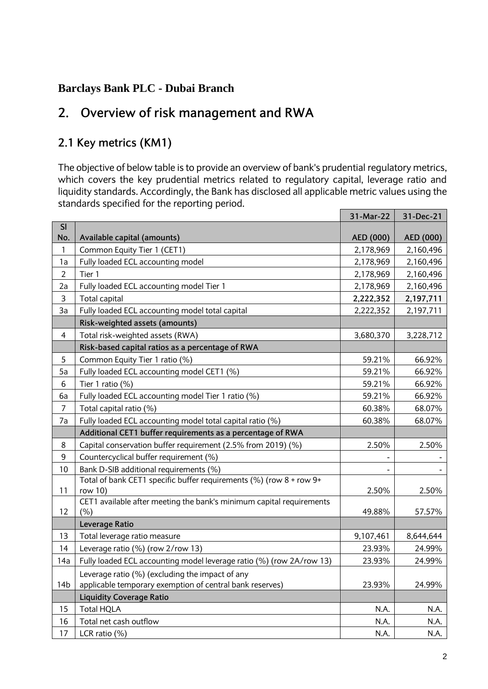# **2. Overview of risk management and RWA**

### **2.1 Key metrics (KM1)**

The objective of below table is to provide an overview of bank's prudential regulatory metrics, which covers the key prudential metrics related to regulatory capital, leverage ratio and liquidity standards. Accordingly, the Bank has disclosed all applicable metric values using the standards specified for the reporting period.

|                 |                                                                      | 31-Mar-22 | 31-Dec-21 |
|-----------------|----------------------------------------------------------------------|-----------|-----------|
| SI              |                                                                      |           |           |
| No.             | Available capital (amounts)                                          | AED (000) | AED (000) |
| 1               | Common Equity Tier 1 (CET1)                                          | 2,178,969 | 2,160,496 |
| 1a              | Fully loaded ECL accounting model                                    | 2,178,969 | 2,160,496 |
| $\overline{2}$  | Tier 1                                                               | 2,178,969 | 2,160,496 |
| 2a              | Fully loaded ECL accounting model Tier 1                             | 2,178,969 | 2,160,496 |
| 3               | Total capital                                                        | 2,222,352 | 2,197,711 |
| 3a              | Fully loaded ECL accounting model total capital                      | 2,222,352 | 2,197,711 |
|                 | Risk-weighted assets (amounts)                                       |           |           |
| $\overline{4}$  | Total risk-weighted assets (RWA)                                     | 3,680,370 | 3,228,712 |
|                 | Risk-based capital ratios as a percentage of RWA                     |           |           |
| 5               | Common Equity Tier 1 ratio (%)                                       | 59.21%    | 66.92%    |
| 5a              | Fully loaded ECL accounting model CET1 (%)                           | 59.21%    | 66.92%    |
| 6               | Tier 1 ratio (%)                                                     | 59.21%    | 66.92%    |
| 6а              | Fully loaded ECL accounting model Tier 1 ratio (%)                   | 59.21%    | 66.92%    |
| $\overline{7}$  | Total capital ratio (%)                                              | 60.38%    | 68.07%    |
| 7a              | Fully loaded ECL accounting model total capital ratio (%)            | 60.38%    | 68.07%    |
|                 | Additional CET1 buffer requirements as a percentage of RWA           |           |           |
| $\bf 8$         | Capital conservation buffer requirement (2.5% from 2019) (%)         | 2.50%     | 2.50%     |
| 9               | Countercyclical buffer requirement (%)                               |           |           |
| 10              | Bank D-SIB additional requirements (%)                               |           |           |
|                 | Total of bank CET1 specific buffer requirements (%) (row 8 + row 9+  |           |           |
| 11              | row 10)                                                              | 2.50%     | 2.50%     |
|                 | CET1 available after meeting the bank's minimum capital requirements |           |           |
| 12              | (% )                                                                 | 49.88%    | 57.57%    |
|                 | Leverage Ratio                                                       |           |           |
| 13              | Total leverage ratio measure                                         | 9,107,461 | 8,644,644 |
| 14              | Leverage ratio (%) (row 2/row 13)                                    | 23.93%    | 24.99%    |
| 14a             | Fully loaded ECL accounting model leverage ratio (%) (row 2A/row 13) | 23.93%    | 24.99%    |
|                 | Leverage ratio (%) (excluding the impact of any                      |           |           |
| 14 <sub>b</sub> | applicable temporary exemption of central bank reserves)             | 23.93%    | 24.99%    |
|                 | <b>Liquidity Coverage Ratio</b>                                      |           |           |
| 15              | <b>Total HQLA</b>                                                    | N.A.      | N.A.      |
| 16              | Total net cash outflow                                               | N.A.      | N.A.      |
| 17              | LCR ratio (%)                                                        | N.A.      | N.A.      |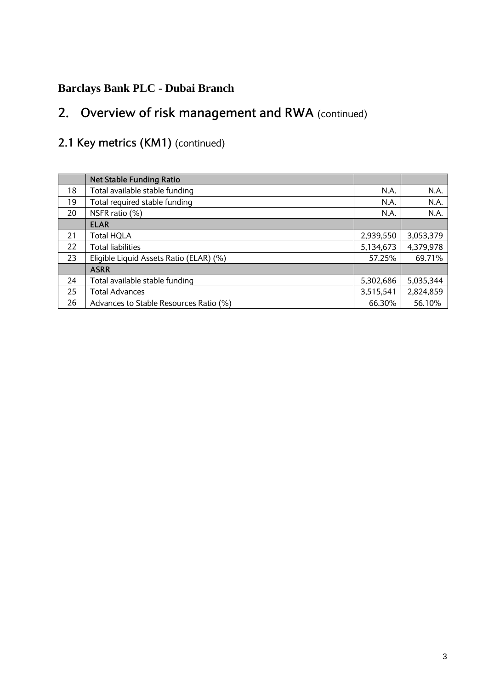# **2. Overview of risk management and RWA** (continued)

# **2.1 Key metrics (KM1)** (continued)

|    | <b>Net Stable Funding Ratio</b>         |           |           |
|----|-----------------------------------------|-----------|-----------|
| 18 | Total available stable funding          | N.A.      | N.A.      |
| 19 | Total required stable funding           | N.A.      | N.A.      |
| 20 | NSFR ratio (%)                          | N.A.      | N.A.      |
|    | <b>ELAR</b>                             |           |           |
| 21 | Total HQLA                              | 2,939,550 | 3,053,379 |
| 22 | Total liabilities                       | 5,134,673 | 4,379,978 |
| 23 | Eligible Liquid Assets Ratio (ELAR) (%) | 57.25%    | 69.71%    |
|    | <b>ASRR</b>                             |           |           |
| 24 | Total available stable funding          | 5,302,686 | 5,035,344 |
| 25 | <b>Total Advances</b>                   | 3,515,541 | 2,824,859 |
| 26 | Advances to Stable Resources Ratio (%)  | 66.30%    | 56.10%    |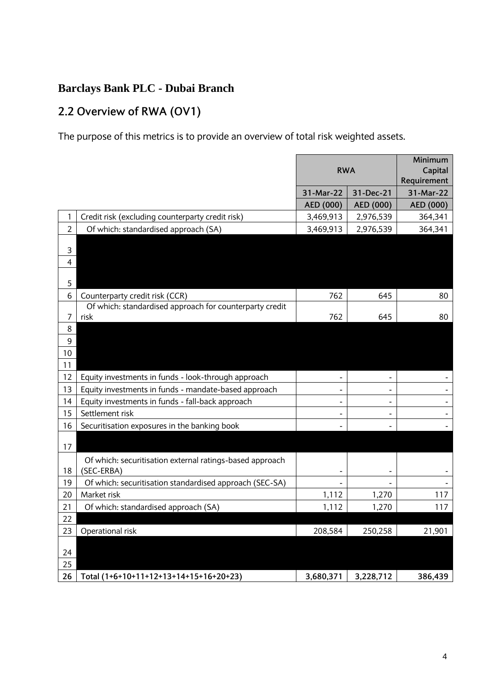# **2.2 Overview of RWA (OV1)**

The purpose of this metrics is to provide an overview of total risk weighted assets.

|                  |                                                          |            |                | Minimum                  |
|------------------|----------------------------------------------------------|------------|----------------|--------------------------|
|                  |                                                          | <b>RWA</b> |                | Capital                  |
|                  |                                                          |            |                | Requirement              |
|                  |                                                          | 31-Mar-22  | 31-Dec-21      | 31-Mar-22                |
|                  |                                                          | AED (000)  | AED (000)      | AED (000)                |
| 1                | Credit risk (excluding counterparty credit risk)         | 3,469,913  | 2,976,539      | 364,341                  |
| $\overline{2}$   | Of which: standardised approach (SA)                     | 3,469,913  | 2,976,539      | 364,341                  |
|                  |                                                          |            |                |                          |
| $\mathsf 3$      |                                                          |            |                |                          |
| $\overline{4}$   |                                                          |            |                |                          |
|                  |                                                          |            |                |                          |
| 5                |                                                          |            |                |                          |
| 6                | Counterparty credit risk (CCR)                           | 762        | 645            | 80                       |
|                  | Of which: standardised approach for counterparty credit  |            |                |                          |
| 7                | risk                                                     | 762        | 645            | 80                       |
| 8                |                                                          |            |                |                          |
| $\boldsymbol{9}$ |                                                          |            |                |                          |
| 10               |                                                          |            |                |                          |
| 11               |                                                          |            |                |                          |
| 12               | Equity investments in funds - look-through approach      |            |                |                          |
| 13               | Equity investments in funds - mandate-based approach     |            | ٠              |                          |
| 14               | Equity investments in funds - fall-back approach         |            |                |                          |
| 15               | Settlement risk                                          |            | $\blacksquare$ |                          |
| 16               | Securitisation exposures in the banking book             |            |                | $\overline{\phantom{a}}$ |
|                  |                                                          |            |                |                          |
| 17               |                                                          |            |                |                          |
|                  | Of which: securitisation external ratings-based approach |            |                |                          |
| 18               | (SEC-ERBA)                                               |            |                |                          |
| 19               | Of which: securitisation standardised approach (SEC-SA)  |            |                |                          |
| 20               | Market risk                                              | 1,112      | 1,270          | 117                      |
| 21               | Of which: standardised approach (SA)                     | 1,112      | 1,270          | 117                      |
| 22               |                                                          |            |                |                          |
| 23               | Operational risk                                         | 208,584    | 250,258        | 21,901                   |
|                  |                                                          |            |                |                          |
| 24               |                                                          |            |                |                          |
| 25               |                                                          |            |                |                          |
| 26               | Total (1+6+10+11+12+13+14+15+16+20+23)                   | 3,680,371  | 3,228,712      | 386,439                  |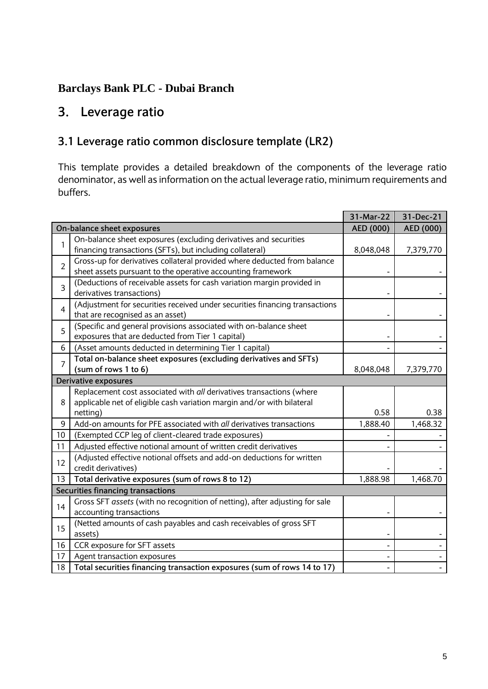# **3. Leverage ratio**

### **3.1 Leverage ratio common disclosure template (LR2)**

This template provides a detailed breakdown of the components of the leverage ratio denominator, as well as information on the actual leverage ratio, minimum requirements and buffers.

|                |                                                                                                     | 31-Mar-22 | 31-Dec-21 |
|----------------|-----------------------------------------------------------------------------------------------------|-----------|-----------|
|                | On-balance sheet exposures                                                                          | AED (000) | AED (000) |
| 1              | On-balance sheet exposures (excluding derivatives and securities                                    |           |           |
|                | financing transactions (SFTs), but including collateral)                                            | 8,048,048 | 7,379,770 |
| $\overline{2}$ | Gross-up for derivatives collateral provided where deducted from balance                            |           |           |
|                | sheet assets pursuant to the operative accounting framework                                         |           |           |
| $\overline{3}$ | (Deductions of receivable assets for cash variation margin provided in<br>derivatives transactions) |           |           |
|                | (Adjustment for securities received under securities financing transactions                         |           |           |
| $\overline{4}$ | that are recognised as an asset)                                                                    |           |           |
| 5              | (Specific and general provisions associated with on-balance sheet                                   |           |           |
|                | exposures that are deducted from Tier 1 capital)                                                    |           |           |
| 6              | (Asset amounts deducted in determining Tier 1 capital)                                              |           |           |
| 7              | Total on-balance sheet exposures (excluding derivatives and SFTs)                                   |           |           |
|                | (sum of rows 1 to 6)                                                                                | 8,048,048 | 7,379,770 |
|                | <b>Derivative exposures</b>                                                                         |           |           |
|                | Replacement cost associated with all derivatives transactions (where                                |           |           |
| 8              | applicable net of eligible cash variation margin and/or with bilateral                              |           |           |
|                | netting)                                                                                            | 0.58      | 0.38      |
| 9              | Add-on amounts for PFE associated with all derivatives transactions                                 | 1,888.40  | 1,468.32  |
| 10             | (Exempted CCP leg of client-cleared trade exposures)                                                |           |           |
| 11             | Adjusted effective notional amount of written credit derivatives                                    |           |           |
| 12             | (Adjusted effective notional offsets and add-on deductions for written                              |           |           |
|                | credit derivatives)                                                                                 |           |           |
| 13             | Total derivative exposures (sum of rows 8 to 12)                                                    | 1,888.98  | 1,468.70  |
|                | <b>Securities financing transactions</b>                                                            |           |           |
| 14             | Gross SFT assets (with no recognition of netting), after adjusting for sale                         |           |           |
|                | accounting transactions                                                                             |           |           |
| 15             | (Netted amounts of cash payables and cash receivables of gross SFT                                  |           |           |
|                | assets)                                                                                             |           |           |
| 16             | CCR exposure for SFT assets                                                                         |           |           |
| 17             | Agent transaction exposures                                                                         |           |           |
| 18             | Total securities financing transaction exposures (sum of rows 14 to 17)                             |           |           |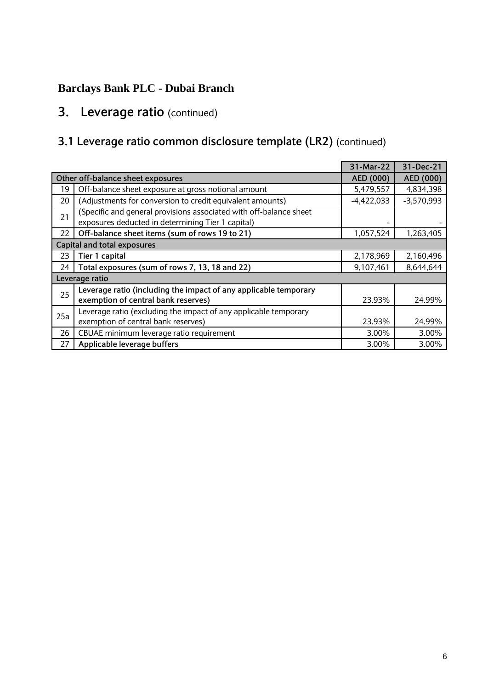# **3. Leverage ratio** (continued)

# **3.1 Leverage ratio common disclosure template (LR2)** (continued)

|                                   |                                                                                                                         |              | 31-Dec-21    |
|-----------------------------------|-------------------------------------------------------------------------------------------------------------------------|--------------|--------------|
| Other off-balance sheet exposures |                                                                                                                         |              | AED (000)    |
| 19                                | Off-balance sheet exposure at gross notional amount                                                                     | 5,479,557    | 4,834,398    |
| 20                                | (Adjustments for conversion to credit equivalent amounts)                                                               | $-4,422,033$ | $-3,570,993$ |
| 21                                | (Specific and general provisions associated with off-balance sheet<br>exposures deducted in determining Tier 1 capital) |              |              |
| 22                                | Off-balance sheet items (sum of rows 19 to 21)                                                                          | 1,057,524    | 1,263,405    |
|                                   | <b>Capital and total exposures</b>                                                                                      |              |              |
| 23                                | Tier 1 capital                                                                                                          | 2,178,969    | 2,160,496    |
| 24                                | Total exposures (sum of rows 7, 13, 18 and 22)                                                                          | 9,107,461    | 8,644,644    |
| Leverage ratio                    |                                                                                                                         |              |              |
| 25                                | Leverage ratio (including the impact of any applicable temporary<br>exemption of central bank reserves)                 | 23.93%       | 24.99%       |
| 25a                               | Leverage ratio (excluding the impact of any applicable temporary                                                        |              |              |
|                                   | exemption of central bank reserves)                                                                                     | 23.93%       | 24.99%       |
| 26                                | CBUAE minimum leverage ratio requirement                                                                                | 3.00%        | 3.00%        |
| 27                                | Applicable leverage buffers                                                                                             | 3.00%        | 3.00%        |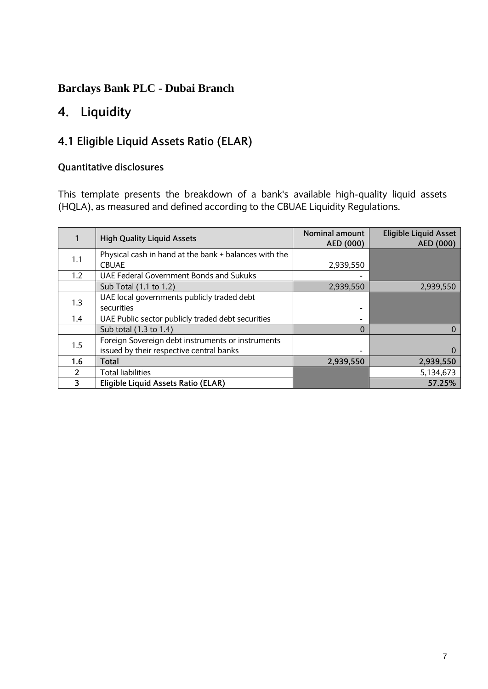# **4. Liquidity**

# **4.1 Eligible Liquid Assets Ratio (ELAR)**

#### **Quantitative disclosures**

This template presents the breakdown of a bank's available high-quality liquid assets (HQLA), as measured and defined according to the CBUAE Liquidity Regulations.

|     | <b>High Quality Liquid Assets</b>                     | Nominal amount<br>AED (000) | <b>Eligible Liquid Asset</b><br>AED (000) |
|-----|-------------------------------------------------------|-----------------------------|-------------------------------------------|
| 1.1 | Physical cash in hand at the bank + balances with the |                             |                                           |
|     | <b>CBUAE</b>                                          | 2,939,550                   |                                           |
| 1.2 | <b>UAE Federal Government Bonds and Sukuks</b>        |                             |                                           |
|     | Sub Total (1.1 to 1.2)                                | 2,939,550                   | 2,939,550                                 |
| 1.3 | UAE local governments publicly traded debt            |                             |                                           |
|     | securities                                            |                             |                                           |
| 1.4 | UAE Public sector publicly traded debt securities     |                             |                                           |
|     | Sub total (1.3 to 1.4)                                | $\Omega$                    | 0                                         |
| 1.5 | Foreign Sovereign debt instruments or instruments     |                             |                                           |
|     | issued by their respective central banks              |                             | $\Omega$                                  |
| 1.6 | Total                                                 | 2,939,550                   | 2,939,550                                 |
| 2   | <b>Total liabilities</b>                              |                             | 5,134,673                                 |
| 3   | Eligible Liquid Assets Ratio (ELAR)                   |                             | 57.25%                                    |